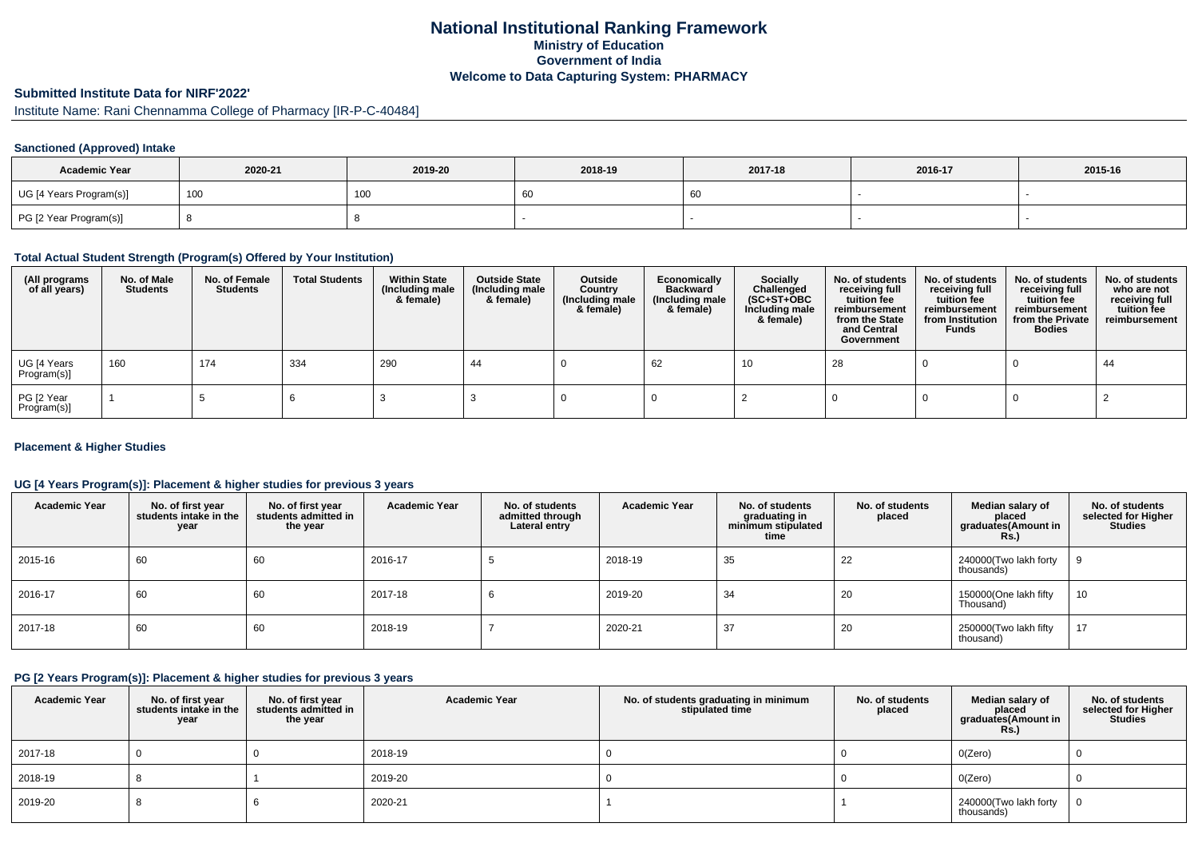## **National Institutional Ranking FrameworkMinistry of Education Government of IndiaWelcome to Data Capturing System: PHARMACY**

# **Submitted Institute Data for NIRF'2022'**

Institute Name: Rani Chennamma College of Pharmacy [IR-P-C-40484]

## **Sanctioned (Approved) Intake**

| <b>Academic Year</b>    | 2020-21 | 2019-20 | 2018-19 | 2017-18 | 2016-17 | 2015-16 |
|-------------------------|---------|---------|---------|---------|---------|---------|
| UG [4 Years Program(s)] | 100     | 100     | 60      |         |         |         |
| PG [2 Year Program(s)]  |         |         |         |         |         |         |

## **Total Actual Student Strength (Program(s) Offered by Your Institution)**

| (All programs<br>of all years) | No. of Male<br><b>Students</b> | No. of Female<br>Students | <b>Total Students</b> | <b>Within State</b><br>(Including male<br>& female) | <b>Outside State</b><br>(Including male<br>& female) | Outside<br>Country<br>(Including male<br>& female) | Economically<br>Backward<br>(Including male<br>& female) | <b>Socially</b><br>Challenged<br>$(SC+ST+OBC)$<br>Including male<br>& female) | No. of students<br>receiving full<br>tuition fee<br>reimbursement<br>from the State<br>and Central<br>Government | No. of students<br>receiving full<br>tuition fee<br>reimbursement<br>from Institution<br><b>Funds</b> | No. of students<br>receiving full<br>tuition fee<br>reimbursement<br>from the Private<br><b>Bodies</b> | No. of students<br>who are not<br>receiving full<br>tuition fee<br>reimbursement |
|--------------------------------|--------------------------------|---------------------------|-----------------------|-----------------------------------------------------|------------------------------------------------------|----------------------------------------------------|----------------------------------------------------------|-------------------------------------------------------------------------------|------------------------------------------------------------------------------------------------------------------|-------------------------------------------------------------------------------------------------------|--------------------------------------------------------------------------------------------------------|----------------------------------------------------------------------------------|
| UG [4 Years<br>Program(s)]     | 160                            | 174                       | 334                   | 290                                                 | 44                                                   |                                                    | 62                                                       | 10                                                                            | 28                                                                                                               |                                                                                                       |                                                                                                        | 44                                                                               |
| PG [2 Year<br>Program(s)]      |                                |                           |                       |                                                     |                                                      |                                                    |                                                          |                                                                               |                                                                                                                  |                                                                                                       |                                                                                                        |                                                                                  |

### **Placement & Higher Studies**

### **UG [4 Years Program(s)]: Placement & higher studies for previous 3 years**

| <b>Academic Year</b> | No. of first year<br>students intake in the<br>year | No. of first year<br>students admitted in<br>the year | <b>Academic Year</b> | No. of students<br>admitted through<br>Lateral entry | <b>Academic Year</b> | No. of students<br>graduating in<br>minimum stipulated<br>time | No. of students<br>placed | Median salary of<br>placed<br>graduates(Amount in<br><b>Rs.)</b> | No. of students<br>selected for Higher<br><b>Studies</b> |
|----------------------|-----------------------------------------------------|-------------------------------------------------------|----------------------|------------------------------------------------------|----------------------|----------------------------------------------------------------|---------------------------|------------------------------------------------------------------|----------------------------------------------------------|
| 2015-16              | 60                                                  | 60                                                    | 2016-17              |                                                      | 2018-19              | 35                                                             | 22                        | 240000(Two lakh forty<br>thousands)                              | 9                                                        |
| 2016-17              | 60                                                  | 60                                                    | 2017-18              | O                                                    | 2019-20              | 34                                                             | 20                        | 150000(One lakh fifty<br>Thousand)                               | 10                                                       |
| 2017-18              | 60                                                  | 60                                                    | 2018-19              |                                                      | 2020-21              | 37                                                             | 20                        | 250000(Two lakh fifty<br>thousand)                               | 17                                                       |

## **PG [2 Years Program(s)]: Placement & higher studies for previous 3 years**

| <b>Academic Year</b> | No. of first year<br>students intake in the<br>year | No. of first year<br>students admitted in<br>the year | <b>Academic Year</b> | No. of students graduating in minimum<br>stipulated time | No. of students<br>placed | Median salary of<br>placed<br>graduates(Amount in<br><b>Rs.)</b> | No. of students<br>selected for Higher<br><b>Studies</b> |
|----------------------|-----------------------------------------------------|-------------------------------------------------------|----------------------|----------------------------------------------------------|---------------------------|------------------------------------------------------------------|----------------------------------------------------------|
| 2017-18              |                                                     |                                                       | 2018-19              |                                                          |                           | O(Zero)                                                          |                                                          |
| 2018-19              |                                                     |                                                       | 2019-20              |                                                          |                           | O(Zero)                                                          |                                                          |
| 2019-20              |                                                     |                                                       | 2020-21              |                                                          |                           | 240000 (Two lakh forty<br>thousands)                             |                                                          |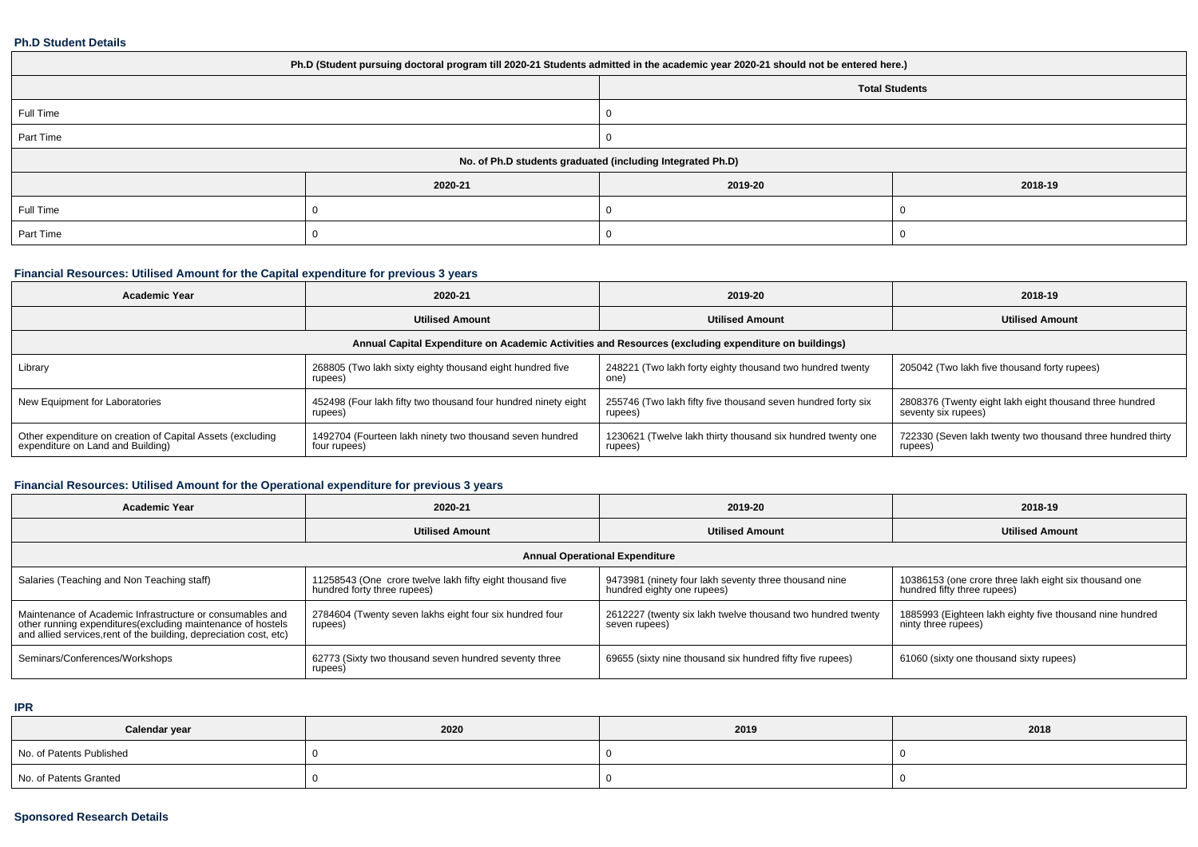#### **Ph.D Student Details**

| Ph.D (Student pursuing doctoral program till 2020-21 Students admitted in the academic year 2020-21 should not be entered here.) |         |         |         |  |  |  |  |
|----------------------------------------------------------------------------------------------------------------------------------|---------|---------|---------|--|--|--|--|
| <b>Total Students</b>                                                                                                            |         |         |         |  |  |  |  |
| Full Time                                                                                                                        |         |         |         |  |  |  |  |
| Part Time                                                                                                                        |         |         |         |  |  |  |  |
| No. of Ph.D students graduated (including Integrated Ph.D)                                                                       |         |         |         |  |  |  |  |
|                                                                                                                                  | 2020-21 | 2019-20 | 2018-19 |  |  |  |  |
| Full Time                                                                                                                        |         |         |         |  |  |  |  |
| Part Time                                                                                                                        |         |         |         |  |  |  |  |

## **Financial Resources: Utilised Amount for the Capital expenditure for previous 3 years**

| <b>Academic Year</b>                                                                                 | 2020-21                                                                   | 2019-20                                                                 | 2018-19                                                                        |  |  |  |  |  |  |
|------------------------------------------------------------------------------------------------------|---------------------------------------------------------------------------|-------------------------------------------------------------------------|--------------------------------------------------------------------------------|--|--|--|--|--|--|
|                                                                                                      | <b>Utilised Amount</b>                                                    | <b>Utilised Amount</b>                                                  | <b>Utilised Amount</b>                                                         |  |  |  |  |  |  |
| Annual Capital Expenditure on Academic Activities and Resources (excluding expenditure on buildings) |                                                                           |                                                                         |                                                                                |  |  |  |  |  |  |
| Library                                                                                              | 268805 (Two lakh sixty eighty thousand eight hundred five<br>rupees)      | 248221 (Two lakh forty eighty thousand two hundred twenty<br>one)       | 205042 (Two lakh five thousand forty rupees)                                   |  |  |  |  |  |  |
| New Equipment for Laboratories                                                                       | 452498 (Four lakh fifty two thousand four hundred ninety eight<br>rupees) | 255746 (Two lakh fifty five thousand seven hundred forty six<br>rupees) | 2808376 (Twenty eight lakh eight thousand three hundred<br>seventy six rupees) |  |  |  |  |  |  |
| Other expenditure on creation of Capital Assets (excluding<br>expenditure on Land and Building)      | 1492704 (Fourteen lakh ninety two thousand seven hundred<br>four rupees)  | 1230621 (Twelve lakh thirty thousand six hundred twenty one<br>rupees)  | 722330 (Seven lakh twenty two thousand three hundred thirty<br>rupees)         |  |  |  |  |  |  |

## **Financial Resources: Utilised Amount for the Operational expenditure for previous 3 years**

| <b>Academic Year</b>                                                                                                                                                                            | 2020-21                                                                                  | 2019-20                                                                             | 2018-19                                                                              |  |  |  |  |  |  |
|-------------------------------------------------------------------------------------------------------------------------------------------------------------------------------------------------|------------------------------------------------------------------------------------------|-------------------------------------------------------------------------------------|--------------------------------------------------------------------------------------|--|--|--|--|--|--|
|                                                                                                                                                                                                 | <b>Utilised Amount</b>                                                                   | <b>Utilised Amount</b>                                                              | <b>Utilised Amount</b>                                                               |  |  |  |  |  |  |
|                                                                                                                                                                                                 | <b>Annual Operational Expenditure</b>                                                    |                                                                                     |                                                                                      |  |  |  |  |  |  |
| Salaries (Teaching and Non Teaching staff)                                                                                                                                                      | 11258543 (One crore twelve lakh fifty eight thousand five<br>hundred forty three rupees) | 9473981 (ninety four lakh seventy three thousand nine<br>hundred eighty one rupees) | 10386153 (one crore three lakh eight six thousand one<br>hundred fifty three rupees) |  |  |  |  |  |  |
| Maintenance of Academic Infrastructure or consumables and<br>other running expenditures (excluding maintenance of hostels<br>and allied services, rent of the building, depreciation cost, etc) | 2784604 (Twenty seven lakhs eight four six hundred four<br>rupees)                       | 2612227 (twenty six lakh twelve thousand two hundred twenty<br>seven rupees)        | 1885993 (Eighteen lakh eighty five thousand nine hundred<br>ninty three rupees)      |  |  |  |  |  |  |
| Seminars/Conferences/Workshops                                                                                                                                                                  | 62773 (Sixty two thousand seven hundred seventy three<br>rupees)                         | 69655 (sixty nine thousand six hundred fifty five rupees)                           | 61060 (sixty one thousand sixty rupees)                                              |  |  |  |  |  |  |

**IPR**

| Calendar year            | 2020 | 2019 | 2018 |
|--------------------------|------|------|------|
| No. of Patents Published |      |      |      |
| No. of Patents Granted   |      |      |      |

## **Sponsored Research Details**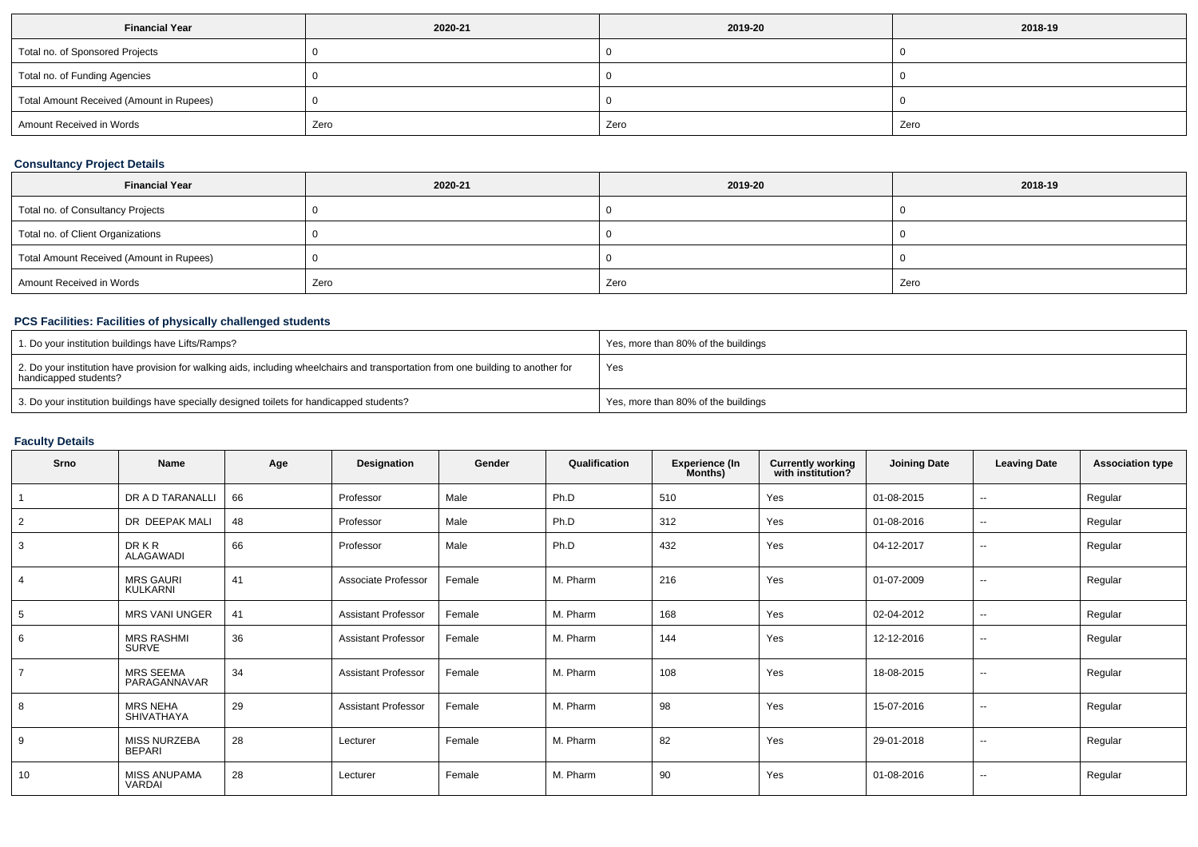| <b>Financial Year</b>                    | 2020-21 | 2019-20 | 2018-19 |
|------------------------------------------|---------|---------|---------|
| Total no. of Sponsored Projects          |         |         |         |
| Total no. of Funding Agencies            |         |         |         |
| Total Amount Received (Amount in Rupees) |         |         |         |
| Amount Received in Words                 | Zero    | Zero    | Zero    |

## **Consultancy Project Details**

| <b>Financial Year</b>                    | 2020-21 | 2019-20 | 2018-19 |
|------------------------------------------|---------|---------|---------|
| Total no. of Consultancy Projects        |         |         |         |
| Total no. of Client Organizations        |         |         |         |
| Total Amount Received (Amount in Rupees) |         |         |         |
| Amount Received in Words                 | Zero    | Zero    | Zero    |

### **PCS Facilities: Facilities of physically challenged students**

| 1. Do your institution buildings have Lifts/Ramps?                                                                                                         | Yes, more than 80% of the buildings |
|------------------------------------------------------------------------------------------------------------------------------------------------------------|-------------------------------------|
| 2. Do your institution have provision for walking aids, including wheelchairs and transportation from one building to another for<br>handicapped students? | Yes                                 |
| 3. Do your institution buildings have specially designed toilets for handicapped students?                                                                 | Yes, more than 80% of the buildings |

# **Faculty Details**

| Srno | Name                                 | Age | Designation                | Gender | Qualification | <b>Experience (In</b><br>Months) | <b>Currently working</b><br>with institution? | <b>Joining Date</b> | <b>Leaving Date</b>      | <b>Association type</b> |
|------|--------------------------------------|-----|----------------------------|--------|---------------|----------------------------------|-----------------------------------------------|---------------------|--------------------------|-------------------------|
|      | DR A D TARANALLI                     | 66  | Professor                  | Male   | Ph.D          | 510                              | Yes                                           | 01-08-2015          | $\overline{\phantom{a}}$ | Regular                 |
|      | DR DEEPAK MALI                       | 48  | Professor                  | Male   | Ph.D          | 312                              | Yes                                           | 01-08-2016          | $\overline{\phantom{a}}$ | Regular                 |
| 3    | <b>DRKR</b><br>ALAGAWADI             | 66  | Professor                  | Male   | Ph.D          | 432                              | Yes                                           | 04-12-2017          | $\overline{\phantom{a}}$ | Regular                 |
|      | <b>MRS GAURI</b><br>KULKARNI         | 41  | Associate Professor        | Female | M. Pharm      | 216                              | Yes                                           | 01-07-2009          | $\overline{\phantom{a}}$ | Regular                 |
| 5    | <b>MRS VANI UNGER</b>                | 41  | <b>Assistant Professor</b> | Female | M. Pharm      | 168                              | Yes                                           | 02-04-2012          | $\overline{\phantom{a}}$ | Regular                 |
| 6    | <b>MRS RASHMI</b><br><b>SURVE</b>    | 36  | <b>Assistant Professor</b> | Female | M. Pharm      | 144                              | Yes                                           | 12-12-2016          | $\overline{\phantom{a}}$ | Regular                 |
|      | <b>MRS SEEMA</b><br>PARAGANNAVAR     | 34  | <b>Assistant Professor</b> | Female | M. Pharm      | 108                              | Yes                                           | 18-08-2015          | $\overline{\phantom{a}}$ | Regular                 |
| 8    | <b>MRS NEHA</b><br>SHIVATHAYA        | 29  | <b>Assistant Professor</b> | Female | M. Pharm      | 98                               | Yes                                           | 15-07-2016          | $\overline{\phantom{a}}$ | Regular                 |
| 9    | <b>MISS NURZEBA</b><br><b>BEPARI</b> | 28  | Lecturer                   | Female | M. Pharm      | 82                               | Yes                                           | 29-01-2018          | $\overline{\phantom{a}}$ | Regular                 |
| 10   | <b>MISS ANUPAMA</b><br>VARDAI        | 28  | Lecturer                   | Female | M. Pharm      | 90                               | Yes                                           | 01-08-2016          | $\overline{\phantom{a}}$ | Regular                 |